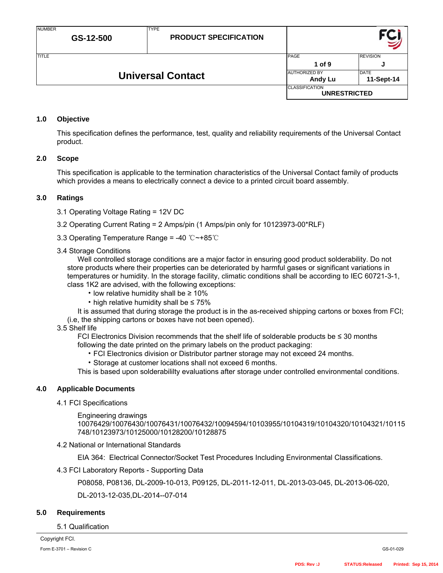| <b>TITLE</b> |                          | <b>PAGE</b>                                  | <b>REVISION</b>           |
|--------------|--------------------------|----------------------------------------------|---------------------------|
|              |                          | $1$ of $9$                                   |                           |
|              | <b>Universal Contact</b> | <b>AUTHORIZED BY</b><br>Andy Lu              | <b>DATE</b><br>11-Sept-14 |
|              |                          | <b>CLASSIFICATION</b><br><b>UNRESTRICTED</b> |                           |
|              |                          |                                              |                           |

# **1.0 Objective**

This specification defines the performance, test, quality and reliability requirements of the Universal Contact product.

# **2.0 Scope**

This specification is applicable to the termination characteristics of the Universal Contact family of products which provides a means to electrically connect a device to a printed circuit board assembly.

# **3.0 Ratings**

3.1 Operating Voltage Rating = 12V DC

3.2 Operating Current Rating = 2 Amps/pin (1 Amps/pin only for 10123973-00\*RLF)

3.3 Operating Temperature Range = -40 ℃~+85℃

TYPE

### 3.4 Storage Conditions

Well controlled storage conditions are a major factor in ensuring good product solderability. Do not store products where their properties can be deteriorated by harmful gases or significant variations in temperatures or humidity. In the storage facility, climatic conditions shall be according to IEC 60721-3-1, class 1K2 are advised, with the following exceptions:

- low relative humidity shall be ≥ 10%
- high relative humidity shall be ≤ 75%

It is assumed that during storage the product is in the as-received shipping cartons or boxes from FCI; (i.e, the shipping cartons or boxes have not been opened).

### 3.5 Shelf life

FCI Electronics Division recommends that the shelf life of solderable products be  $\leq$  30 months following the date printed on the primary labels on the product packaging:

• FCI Electronics division or Distributor partner storage may not exceed 24 months.

• Storage at customer locations shall not exceed 6 months.

This is based upon solderabililty evaluations after storage under controlled environmental conditions.

#### **4.0 Applicable Documents**

# 4.1 FCI Specifications

Engineering drawings

10076429/10076430/10076431/10076432/10094594/10103955/10104319/10104320/10104321/10115 748/10123973/10125000/10128200/10128875

#### 4.2 National or International Standards

EIA 364: Electrical Connector/Socket Test Procedures Including Environmental Classifications.

#### 4.3 FCI Laboratory Reports - Supporting Data

P08058, P08136, DL-2009-10-013, P09125, DL-2011-12-011, DL-2013-03-045, DL-2013-06-020,

DL-2013-12-035,DL-2014--07-014

#### **5.0 Requirements**

### 5.1 Qualification

Copyright FCI. Form E-3701 – Revision C GS-01-029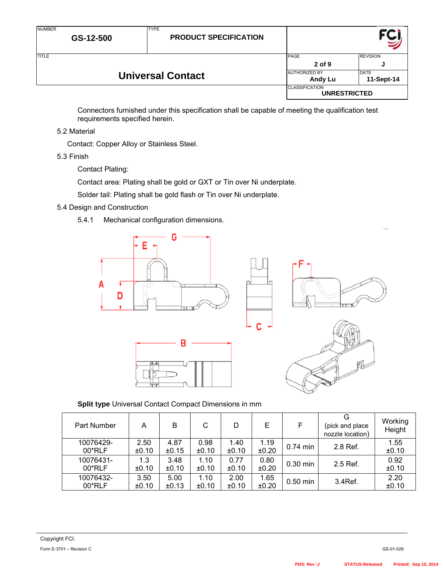| <b>NUMBER</b>            | GS-12-500 | <b>TYPE</b><br><b>PRODUCT SPECIFICATION</b> |                                              |                           |
|--------------------------|-----------|---------------------------------------------|----------------------------------------------|---------------------------|
| <b>TITLE</b>             |           |                                             | PAGE<br>$2$ of 9                             | <b>REVISION</b><br>J      |
| <b>Universal Contact</b> |           |                                             | <b>AUTHORIZED BY</b><br><b>Andy Lu</b>       | <b>DATE</b><br>11-Sept-14 |
|                          |           |                                             | <b>CLASSIFICATION</b><br><b>UNRESTRICTED</b> |                           |

Connectors furnished under this specification shall be capable of meeting the qualification test requirements specified herein.

5.2 Material

Contact: Copper Alloy or Stainless Steel.

5.3 Finish

Contact Plating:

Contact area: Plating shall be gold or GXT or Tin over Ni underplate.

Solder tail: Plating shall be gold flash or Tin over Ni underplate.

- 5.4 Design and Construction
	- 5.4.1 Mechanical configuration dimensions.









# **Split type** Universal Contact Compact Dimensions in mm

| Part Number | А     | B     | C     | D     | E     | F          | G<br>(pick and place<br>nozzle location) | Working<br>Height |
|-------------|-------|-------|-------|-------|-------|------------|------------------------------------------|-------------------|
| 10076429-   | 2.50  | 4.87  | 0.98  | 1.40  | 1.19  | $0.74$ min | 2.8 Ref.                                 | 1.55              |
| $00*RLF$    | ±0.10 | ±0.15 | ±0.10 | ±0.10 | ±0.20 |            |                                          | ±0.10             |
| 10076431-   | 1.3   | 3.48  | 1.10  | 0.77  | 0.80  | 0.30 min   | 2.5 Ref.                                 | 0.92              |
| $00*RLF$    | ±0.10 | ±0.10 | ±0.10 | ±0.10 | ±0.20 |            |                                          | ±0.10             |
| 10076432-   | 3.50  | 5.00  | 1.10  | 2.00  | 1.65  | $0.50$ min | 3.4Ref.                                  | 2.20              |
| 00*RLF      | ±0.10 | ±0.13 | ±0.10 | ±0.10 | ±0.20 |            |                                          | ±0.10             |

c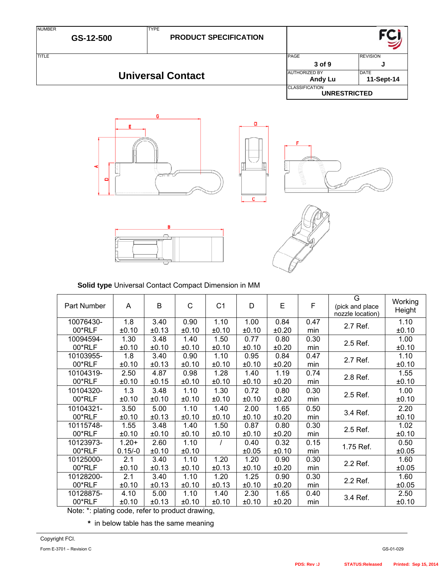| <b>NUMBER</b> | GS-12-500 | <b>TYPE</b><br><b>PRODUCT SPECIFICATION</b> |                                              |                           |
|---------------|-----------|---------------------------------------------|----------------------------------------------|---------------------------|
| <b>TITLE</b>  |           |                                             | PAGE<br>3 of 9                               | <b>REVISION</b><br>ω      |
|               |           | <b>Universal Contact</b>                    | <b>AUTHORIZED BY</b><br>Andy Lu              | <b>DATE</b><br>11-Sept-14 |
|               |           |                                             | <b>CLASSIFICATION</b><br><b>UNRESTRICTED</b> |                           |









**Solid type** Universal Contact Compact Dimension in MM

| Part Number                                                                                                       | A                    | B             | $\mathsf{C}$  | C <sub>1</sub> | D             | E             | $\mathsf F$ | G<br>(pick and place<br>nozzle location) | Working<br>Height |
|-------------------------------------------------------------------------------------------------------------------|----------------------|---------------|---------------|----------------|---------------|---------------|-------------|------------------------------------------|-------------------|
| 10076430-                                                                                                         | 1.8                  | 3.40          | 0.90          | 1.10           | 1.00          | 0.84          | 0.47        | 2.7 Ref.                                 | 1.10              |
| 00*RLF                                                                                                            | ±0.10                | ±0.13         | ±0.10         | ±0.10          | ±0.10         | ±0.20         | min         |                                          | ±0.10             |
| 10094594-                                                                                                         | 1.30                 | 3.48          | 1.40          | 1.50           | 0.77          | 0.80          | 0.30        | 2.5 Ref.                                 | 1.00              |
| 00*RLF                                                                                                            | ±0.10                | ±0.10         | ±0.10         | ±0.10          | ±0.10         | ±0.20         | min         |                                          | ±0.10             |
| 10103955-                                                                                                         | 1.8                  | 3.40          | 0.90          | 1.10           | 0.95          | 0.84          | 0.47        | 2.7 Ref.                                 | 1.10              |
| 00*RLF                                                                                                            | ±0.10                | ±0.13         | ±0.10         | ±0.10          | ±0.10         | ±0.20         | min         |                                          | ±0.10             |
| 10104319-                                                                                                         | 2.50                 | 4.87          | 0.98          | 1.28           | 1.40          | 1.19          | 0.74        | 2.8 Ref.                                 | 1.55              |
| 00*RLF                                                                                                            | ±0.10                | ±0.15         | ±0.10         | ±0.10          | ±0.10         | ±0.20         | min         |                                          | ±0.10             |
| 10104320-                                                                                                         | 1.3                  | 3.48          | 1.10          | 1.30           | 0.72          | 0.80          | 0.30        | 2.5 Ref.                                 | 1.00              |
| 00*RLF                                                                                                            | ±0.10                | ±0.10         | ±0.10         | ±0.10          | ±0.10         | ±0.20         | min         |                                          | ±0.10             |
| 10104321-                                                                                                         | 3.50                 | 5.00          | 1.10          | 1.40           | 2.00          | 1.65          | 0.50        | 3.4 Ref.                                 | 2.20              |
| 00*RLF                                                                                                            | ±0.10                | ±0.13         | ±0.10         | ±0.10          | ±0.10         | ±0.20         | min         |                                          | ±0.10             |
| 10115748-                                                                                                         | 1.55                 | 3.48          | 1.40          | 1.50           | 0.87          | 0.80          | 0.30        | 2.5 Ref.                                 | 1.02              |
| 00*RLF                                                                                                            | ±0.10                | ±0.10         | ±0.10         | ±0.10          | ±0.10         | ±0.20         | min         |                                          | ±0.10             |
| 10123973-<br>00*RLF                                                                                               | $1.20+$<br>$0.15/-0$ | 2.60<br>±0.10 | 1.10<br>±0.10 |                | 0.40<br>±0.05 | 0.32<br>±0.10 | 0.15<br>min | 1.75 Ref.                                | 0.50<br>±0.05     |
| 10125000-                                                                                                         | 2.1                  | 3.40          | 1.10          | 1.20           | 1.20          | 0.90          | 0.30        | 2.2 Ref.                                 | 1.60              |
| 00*RLF                                                                                                            | ±0.10                | ±0.13         | ±0.10         | ±0.13          | ±0.10         | ±0.20         | min         |                                          | ±0.05             |
| 10128200-                                                                                                         | 2.1                  | 3.40          | 1.10          | 1.20           | 1.25          | 0.90          | 0.30        | 2.2 Ref.                                 | 1.60              |
| 00*RLF                                                                                                            | ±0.10                | ±0.13         | ±0.10         | ±0.13          | ±0.10         | ±0.20         | min         |                                          | ±0.05             |
| 10128875-<br>00*RLF<br>$\mathbf{a}$ and $\mathbf{a}$ and $\mathbf{a}$<br>$\mathbf{r}$ . The state of $\mathbf{r}$ | 4.10<br>±0.10        | 5.00<br>±0.13 | 1.10<br>±0.10 | 1.40<br>±0.10  | 2.30<br>±0.10 | 1.65<br>±0.20 | 0.40<br>min | 3.4 Ref.                                 | 2.50<br>±0.10     |

Note: \*: plating code, refer to product drawing,

**\*** in below table has the same meaning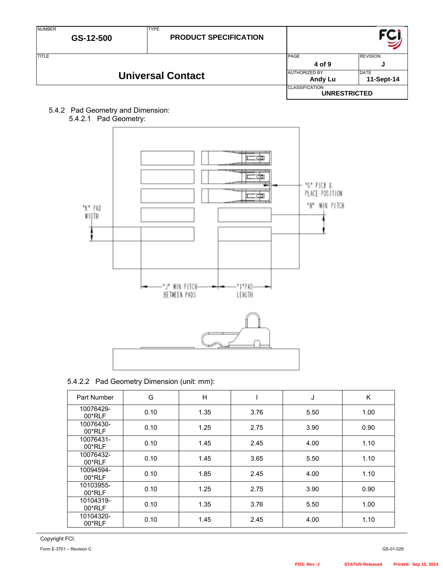| <b>NUMBER</b>            | GS-12-500 | <b>TYPE</b><br><b>PRODUCT SPECIFICATION</b> |                                              |                           |
|--------------------------|-----------|---------------------------------------------|----------------------------------------------|---------------------------|
| <b>TITLE</b>             |           |                                             | PAGE<br>4 of 9                               | <b>REVISION</b><br>ω      |
| <b>Universal Contact</b> |           |                                             | <b>AUTHORIZED BY</b><br>Andy Lu              | <b>DATE</b><br>11-Sept-14 |
|                          |           |                                             | <b>CLASSIFICATION</b><br><b>UNRESTRICTED</b> |                           |

5.4.2 Pad Geometry and Dimension:



|  | 5.4.2.2 Pad Geometry Dimension (unit: mm): |
|--|--------------------------------------------|
|--|--------------------------------------------|

| Part Number           | G    | H    |      | J    | Κ    |
|-----------------------|------|------|------|------|------|
| 10076429-<br>$00*RLF$ | 0.10 | 1.35 | 3.76 | 5.50 | 1.00 |
| 10076430-<br>$00*RLF$ | 0.10 | 1.25 | 2.75 | 3.90 | 0.90 |
| 10076431-<br>00*RLF   | 0.10 | 1.45 | 2.45 | 4.00 | 1.10 |
| 10076432-<br>00*RLF   | 0.10 | 1.45 | 3.65 | 5.50 | 1.10 |
| 10094594-<br>00*RLF   | 0.10 | 1.85 | 2.45 | 4.00 | 1.10 |
| 10103955-<br>00*RLF   | 0.10 | 1.25 | 2.75 | 3.90 | 0.90 |
| 10104319-<br>$00*RLF$ | 0.10 | 1.35 | 3.76 | 5.50 | 1.00 |
| 10104320-<br>00*RLF   | 0.10 | 1.45 | 2.45 | 4.00 | 1.10 |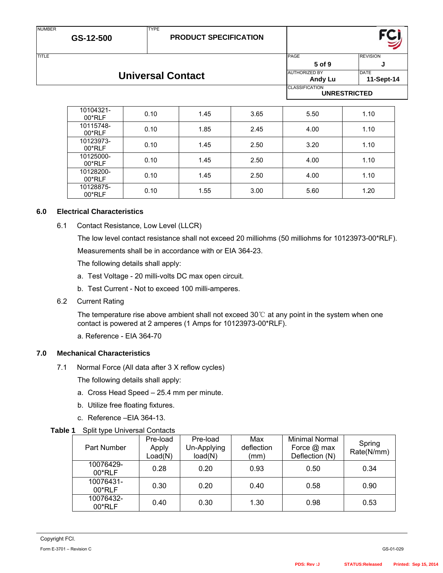# **PRODUCT SPECIFICATION**

NUMBER

TYPE

TITLE REVISION REVISION CONTINUES IN THE REVISION REVISION REVISION REVISION REVISION **5 of 9 J** AUTHORIZED BY DATE **Andy Lu 11-Sept-14** CLASSIFICATION **UNRESTRICTED**

| 10104321-<br>$00*RLF$ | 0.10 | 1.45 | 3.65 | 5.50 | 1.10 |
|-----------------------|------|------|------|------|------|
| 10115748-<br>$00*RLF$ | 0.10 | 1.85 | 2.45 | 4.00 | 1.10 |
| 10123973-<br>$00*RLF$ | 0.10 | 1.45 | 2.50 | 3.20 | 1.10 |
| 10125000-<br>$00*RLF$ | 0.10 | 1.45 | 2.50 | 4.00 | 1.10 |
| 10128200-<br>$00*RLF$ | 0.10 | 1.45 | 2.50 | 4.00 | 1.10 |
| 10128875-<br>$00*RLF$ | 0.10 | 1.55 | 3.00 | 5.60 | 1.20 |

# **6.0 Electrical Characteristics**

6.1 Contact Resistance, Low Level (LLCR)

The low level contact resistance shall not exceed 20 milliohms (50 milliohms for 10123973-00\*RLF). Measurements shall be in accordance with or EIA 364-23.

The following details shall apply:

- a. Test Voltage 20 milli-volts DC max open circuit.
- b. Test Current Not to exceed 100 milli-amperes.
- 6.2 Current Rating

The temperature rise above ambient shall not exceed 30℃ at any point in the system when one contact is powered at 2 amperes (1 Amps for 10123973-00\*RLF).

a. Reference - EIA 364-70

# **7.0 Mechanical Characteristics**

7.1 Normal Force (All data after 3 X reflow cycles)

The following details shall apply:

- a. Cross Head Speed 25.4 mm per minute.
- b. Utilize free floating fixtures.
- c. Reference –EIA 364-13.

|  | Table 1 Split type Universal Contacts |  |  |
|--|---------------------------------------|--|--|
|--|---------------------------------------|--|--|

| <b>Part Number</b>    | Pre-load<br>Apply<br>Load(N) | Pre-load<br>Un-Applying<br>load(N) | Max<br>deflection<br>(mm) | <b>Minimal Normal</b><br>Force $@$ max<br>Deflection (N) | Spring<br>Rate(N/mm) |
|-----------------------|------------------------------|------------------------------------|---------------------------|----------------------------------------------------------|----------------------|
| 10076429-<br>$00*RLF$ | 0.28                         | 0.20                               | 0.93                      | 0.50                                                     | 0.34                 |
| 10076431-<br>00*RLF   | 0.30                         | 0.20                               | 0.40                      | 0.58                                                     | 0.90                 |
| 10076432-<br>00*RLF   | 0.40                         | 0.30                               | 1.30                      | 0.98                                                     | 0.53                 |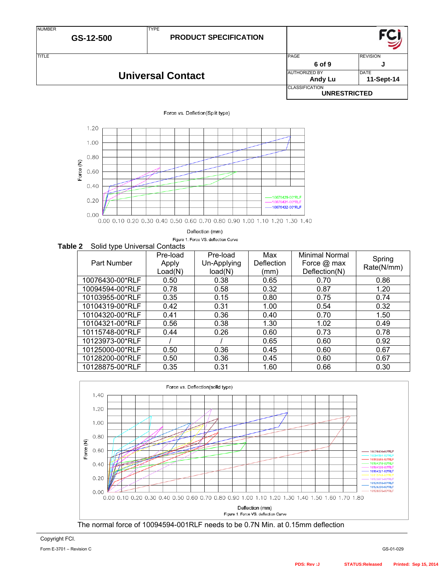| <b>NUMBER</b> | GS-12-500 | <b>TYPE</b><br><b>PRODUCT SPECIFICATION</b> |                                              |                 |
|---------------|-----------|---------------------------------------------|----------------------------------------------|-----------------|
| <b>TITLE</b>  |           |                                             | PAGE                                         | <b>REVISION</b> |
|               |           |                                             | 6 of 9                                       |                 |
|               |           | <b>Universal Contact</b>                    | <b>AUTHORIZED BY</b>                         | <b>DATE</b>     |
|               |           |                                             | Andy Lu                                      | 11-Sept-14      |
|               |           |                                             | <b>CLASSIFICATION</b><br><b>UNRESTRICTED</b> |                 |

#### Force vs. Defletion(Split type)



Deflection (mm)

Figure 1. Force VS. deflection Curve

# **Table 2** Solid type Universal Contacts

| . .<br>Part Number | Pre-load<br>Apply<br>Load(N) | Pre-load<br>Un-Applying<br>load(N) | Max<br>Deflection<br>(mm) | <b>Minimal Normal</b><br>Force @ max<br>Deflection(N) | Spring<br>Rate(N/mm) |
|--------------------|------------------------------|------------------------------------|---------------------------|-------------------------------------------------------|----------------------|
| 10076430-00*RLF    | 0.50                         | 0.38                               | 0.65                      | 0.70                                                  | 0.86                 |
| 10094594-00*RLF    | 0.78                         | 0.58                               | 0.32                      | 0.87                                                  | 1.20                 |
| 10103955-00*RLF    | 0.35                         | 0.15                               | 0.80                      | 0.75                                                  | 0.74                 |
| 10104319-00*RLF    | 0.42                         | 0.31                               | 1.00                      | 0.54                                                  | 0.32                 |
| 10104320-00*RLF    | 0.41                         | 0.36                               | 0.40                      | 0.70                                                  | 1.50                 |
| 10104321-00*RLF    | 0.56                         | 0.38                               | 1.30                      | 1.02                                                  | 0.49                 |
| 10115748-00*RLF    | 0.44                         | 0.26                               | 0.60                      | 0.73                                                  | 0.78                 |
| 10123973-00*RLF    |                              |                                    | 0.65                      | 0.60                                                  | 0.92                 |
| 10125000-00*RLF    | 0.50                         | 0.36                               | 0.45                      | 0.60                                                  | 0.67                 |
| 10128200-00*RLF    | 0.50                         | 0.36                               | 0.45                      | 0.60                                                  | 0.67                 |
| 10128875-00*RLF    | 0.35                         | 0.31                               | 1.60                      | 0.66                                                  | 0.30                 |

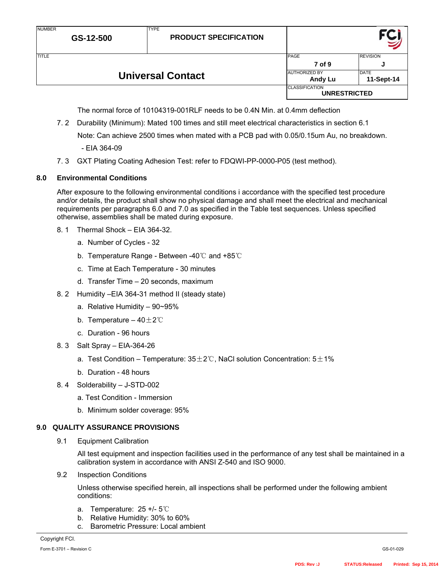| <b>NUMBER</b> | GS-12-500                | <b>TYPE</b><br><b>PRODUCT SPECIFICATION</b> |                                              |                           |
|---------------|--------------------------|---------------------------------------------|----------------------------------------------|---------------------------|
| <b>TITLE</b>  |                          |                                             | PAGE<br>7 of 9                               | <b>REVISION</b><br>J      |
|               | <b>Universal Contact</b> |                                             | <b>AUTHORIZED BY</b><br>Andy Lu              | <b>DATE</b><br>11-Sept-14 |
|               |                          |                                             | <b>CLASSIFICATION</b><br><b>UNRESTRICTED</b> |                           |

The normal force of 10104319-001RLF needs to be 0.4N Min. at 0.4mm deflection

7. 2 Durability (Minimum): Mated 100 times and still meet electrical characteristics in section 6.1

Note: Can achieve 2500 times when mated with a PCB pad with 0.05/0.15um Au, no breakdown.

- EIA 364-09
- 7. 3 GXT Plating Coating Adhesion Test: refer to FDQWI-PP-0000-P05 (test method).

# **8.0 Environmental Conditions**

After exposure to the following environmental conditions i accordance with the specified test procedure and/or details, the product shall show no physical damage and shall meet the electrical and mechanical requirements per paragraphs 6.0 and 7.0 as specified in the Table test sequences. Unless specified otherwise, assemblies shall be mated during exposure.

- 8. 1 Thermal Shock EIA 364-32.
	- a. Number of Cycles 32
	- b. Temperature Range Between -40℃ and +85℃
	- c. Time at Each Temperature 30 minutes
	- d. Transfer Time 20 seconds, maximum
- 8. 2 Humidity –EIA 364-31 method II (steady state)
	- a. Relative Humidity 90~95%
	- b. Temperature  $40 \pm 2^{\circ}$ C
	- c. Duration 96 hours
- 8. 3 Salt Spray EIA-364-26
	- a. Test Condition Temperature:  $35\pm2\degree$ C, NaCl solution Concentration:  $5\pm1\%$
	- b. Duration 48 hours
- 8. 4 Solderability J-STD-002
	- a. Test Condition Immersion
	- b. Minimum solder coverage: 95%

# **9.0 QUALITY ASSURANCE PROVISIONS**

9.1 Equipment Calibration

All test equipment and inspection facilities used in the performance of any test shall be maintained in a calibration system in accordance with ANSI Z-540 and ISO 9000.

9.2 Inspection Conditions

Unless otherwise specified herein, all inspections shall be performed under the following ambient conditions:

- a. Temperature: 25 +/- 5℃
- b. Relative Humidity: 30% to 60%
- c. Barometric Pressure: Local ambient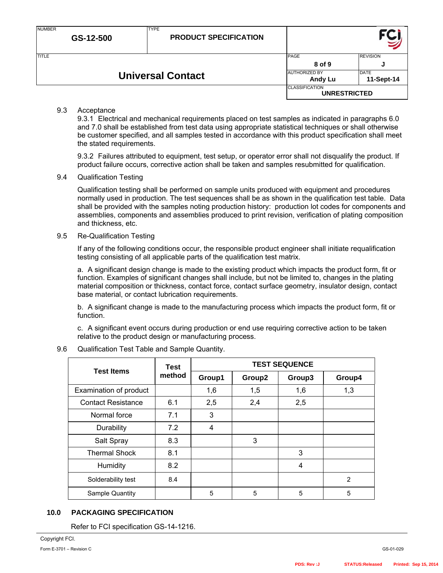| <b>NUMBER</b> | GS-12-500 | <b>TYPE</b><br><b>PRODUCT SPECIFICATION</b> |                                              |                           |
|---------------|-----------|---------------------------------------------|----------------------------------------------|---------------------------|
| <b>TITLE</b>  |           |                                             | <b>PAGE</b>                                  | <b>REVISION</b>           |
|               |           |                                             | 8 of 9                                       | .J                        |
|               |           | <b>Universal Contact</b>                    | <b>AUTHORIZED BY</b><br>Andy Lu              | <b>DATE</b><br>11-Sept-14 |
|               |           |                                             | <b>CLASSIFICATION</b><br><b>UNRESTRICTED</b> |                           |

#### 9.3 Acceptance

9.3.1 Electrical and mechanical requirements placed on test samples as indicated in paragraphs 6.0 and 7.0 shall be established from test data using appropriate statistical techniques or shall otherwise be customer specified, and all samples tested in accordance with this product specification shall meet the stated requirements.

9.3.2 Failures attributed to equipment, test setup, or operator error shall not disqualify the product. If product failure occurs, corrective action shall be taken and samples resubmitted for qualification.

#### 9.4 Qualification Testing

Qualification testing shall be performed on sample units produced with equipment and procedures normally used in production. The test sequences shall be as shown in the qualification test table. Data shall be provided with the samples noting production history: production lot codes for components and assemblies, components and assemblies produced to print revision, verification of plating composition and thickness, etc.

#### 9.5 Re-Qualification Testing

If any of the following conditions occur, the responsible product engineer shall initiate requalification testing consisting of all applicable parts of the qualification test matrix.

a. A significant design change is made to the existing product which impacts the product form, fit or function. Examples of significant changes shall include, but not be limited to, changes in the plating material composition or thickness, contact force, contact surface geometry, insulator design, contact base material, or contact lubrication requirements.

b. A significant change is made to the manufacturing process which impacts the product form, fit or function.

c. A significant event occurs during production or end use requiring corrective action to be taken relative to the product design or manufacturing process.

| <b>Test Items</b>         | <b>Test</b> | <b>TEST SEQUENCE</b> |        |        |                |  |
|---------------------------|-------------|----------------------|--------|--------|----------------|--|
|                           | method      | Group1               | Group2 | Group3 | Group4         |  |
| Examination of product    |             | 1,6                  | 1,5    | 1,6    | 1,3            |  |
| <b>Contact Resistance</b> | 6.1         | 2,5                  | 2,4    | 2,5    |                |  |
| Normal force              | 7.1         | 3                    |        |        |                |  |
| Durability                | 7.2         | 4                    |        |        |                |  |
| Salt Spray                | 8.3         |                      | 3      |        |                |  |
| <b>Thermal Shock</b>      | 8.1         |                      |        | 3      |                |  |
| Humidity                  | 8.2         |                      |        | 4      |                |  |
| Solderability test        | 8.4         |                      |        |        | $\overline{2}$ |  |
| Sample Quantity           |             | 5                    | 5      | 5      | 5              |  |

#### 9.6 Qualification Test Table and Sample Quantity.

# **10.0 PACKAGING SPECIFICATION**

Refer to FCI specification GS-14-1216.